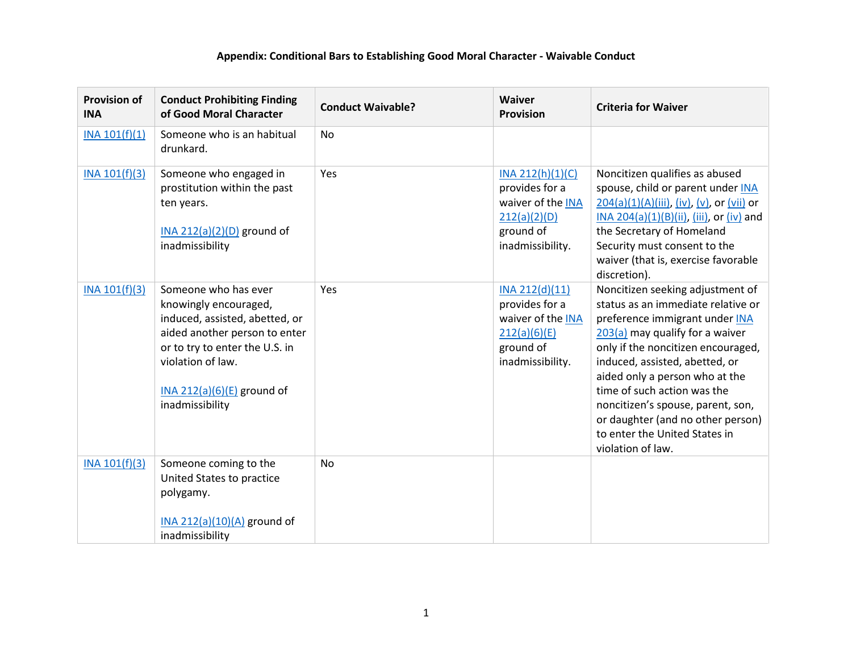## **Appendix: Conditional Bars to Establishing Good Moral Character - Waivable Conduct**

| <b>Provision of</b><br><b>INA</b> | <b>Conduct Prohibiting Finding</b><br>of Good Moral Character                                                                                                                                                            | <b>Conduct Waivable?</b> | <b>Waiver</b><br><b>Provision</b>                                                                          | <b>Criteria for Waiver</b>                                                                                                                                                                                                                                                                                                                                                                                             |
|-----------------------------------|--------------------------------------------------------------------------------------------------------------------------------------------------------------------------------------------------------------------------|--------------------------|------------------------------------------------------------------------------------------------------------|------------------------------------------------------------------------------------------------------------------------------------------------------------------------------------------------------------------------------------------------------------------------------------------------------------------------------------------------------------------------------------------------------------------------|
| INA 101(f)(1)                     | Someone who is an habitual<br>drunkard.                                                                                                                                                                                  | <b>No</b>                |                                                                                                            |                                                                                                                                                                                                                                                                                                                                                                                                                        |
| INA 101(f)(3)                     | Someone who engaged in<br>prostitution within the past<br>ten years.<br>$INA 212(a)(2)(D)$ ground of<br>inadmissibility                                                                                                  | Yes                      | $INA$ 212(h)(1)(C)<br>provides for a<br>waiver of the INA<br>212(a)(2)(D)<br>ground of<br>inadmissibility. | Noncitizen qualifies as abused<br>spouse, child or parent under INA<br>204(a)(1)(A)(iii), (iv), (v), or (vii) or<br>INA 204(a)(1)(B)(ii), (iii), or (iv) and<br>the Secretary of Homeland<br>Security must consent to the<br>waiver (that is, exercise favorable<br>discretion).                                                                                                                                       |
| INA 101(f)(3)                     | Someone who has ever<br>knowingly encouraged,<br>induced, assisted, abetted, or<br>aided another person to enter<br>or to try to enter the U.S. in<br>violation of law.<br>INA 212(a)(6)(E) ground of<br>inadmissibility | Yes                      | INA 212(d)(11)<br>provides for a<br>waiver of the INA<br>212(a)(6)(E)<br>ground of<br>inadmissibility.     | Noncitizen seeking adjustment of<br>status as an immediate relative or<br>preference immigrant under INA<br>$203(a)$ may qualify for a waiver<br>only if the noncitizen encouraged,<br>induced, assisted, abetted, or<br>aided only a person who at the<br>time of such action was the<br>noncitizen's spouse, parent, son,<br>or daughter (and no other person)<br>to enter the United States in<br>violation of law. |
| INA 101(f)(3)                     | Someone coming to the<br>United States to practice<br>polygamy.<br>INA 212(a)(10)(A) ground of<br>inadmissibility                                                                                                        | <b>No</b>                |                                                                                                            |                                                                                                                                                                                                                                                                                                                                                                                                                        |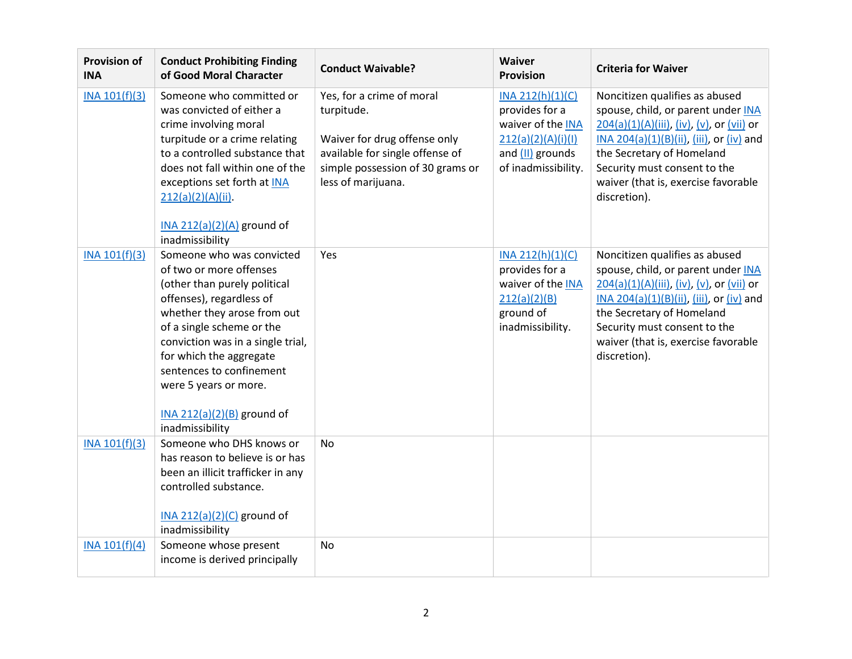| <b>Provision of</b><br><b>INA</b> | <b>Conduct Prohibiting Finding</b><br>of Good Moral Character                                                                                                                                                                                                                                                                                        | <b>Conduct Waivable?</b>                                                                                                                                             | Waiver<br>Provision                                                                                                      | <b>Criteria for Waiver</b>                                                                                                                                                                                                                                                           |
|-----------------------------------|------------------------------------------------------------------------------------------------------------------------------------------------------------------------------------------------------------------------------------------------------------------------------------------------------------------------------------------------------|----------------------------------------------------------------------------------------------------------------------------------------------------------------------|--------------------------------------------------------------------------------------------------------------------------|--------------------------------------------------------------------------------------------------------------------------------------------------------------------------------------------------------------------------------------------------------------------------------------|
| INA 101(f)(3)                     | Someone who committed or<br>was convicted of either a<br>crime involving moral<br>turpitude or a crime relating<br>to a controlled substance that<br>does not fall within one of the<br>exceptions set forth at INA<br>$212(a)(2)(A)(ii)$ .<br>$INA 212(a)(2)(A)$ ground of<br>inadmissibility                                                       | Yes, for a crime of moral<br>turpitude.<br>Waiver for drug offense only<br>available for single offense of<br>simple possession of 30 grams or<br>less of marijuana. | INA 212(h)(1)(C)<br>provides for a<br>waiver of the INA<br>212(a)(2)(A)(i)(1)<br>and (II) grounds<br>of inadmissibility. | Noncitizen qualifies as abused<br>spouse, child, or parent under INA<br>$204(a)(1)(A)(iii)$ , (iv), (v), or (vii) or<br>INA 204(a)(1)(B)(ii), (iii), or (iv) and<br>the Secretary of Homeland<br>Security must consent to the<br>waiver (that is, exercise favorable<br>discretion). |
| INA 101(f)(3)                     | Someone who was convicted<br>of two or more offenses<br>(other than purely political<br>offenses), regardless of<br>whether they arose from out<br>of a single scheme or the<br>conviction was in a single trial,<br>for which the aggregate<br>sentences to confinement<br>were 5 years or more.<br>$INA 212(a)(2)(B)$ ground of<br>inadmissibility | Yes                                                                                                                                                                  | INA 212(h)(1)(C)<br>provides for a<br>waiver of the INA<br>212(a)(2)(B)<br>ground of<br>inadmissibility.                 | Noncitizen qualifies as abused<br>spouse, child, or parent under INA<br>204(a)(1)(A)(iii), (iv), (v), or (vii) or<br>INA 204(a)(1)(B)(ii), (iii), or (iv) and<br>the Secretary of Homeland<br>Security must consent to the<br>waiver (that is, exercise favorable<br>discretion).    |
| INA 101(f)(3)                     | Someone who DHS knows or<br>has reason to believe is or has<br>been an illicit trafficker in any<br>controlled substance.<br>$INA 212(a)(2)(C)$ ground of<br>inadmissibility                                                                                                                                                                         | <b>No</b>                                                                                                                                                            |                                                                                                                          |                                                                                                                                                                                                                                                                                      |
| INA 101(f)(4)                     | Someone whose present<br>income is derived principally                                                                                                                                                                                                                                                                                               | No                                                                                                                                                                   |                                                                                                                          |                                                                                                                                                                                                                                                                                      |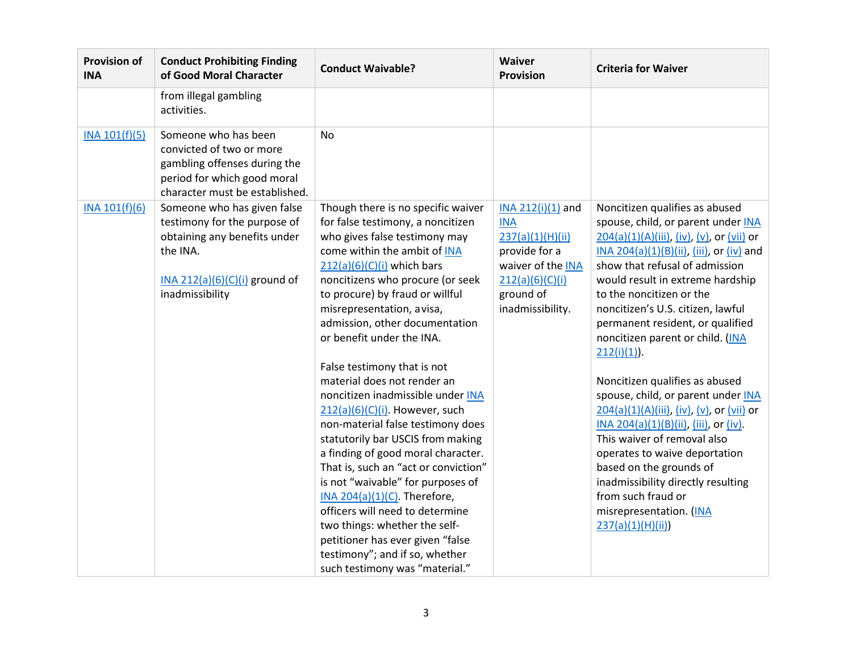| <b>Provision of</b><br><b>INA</b> | <b>Conduct Prohibiting Finding</b><br>of Good Moral Character                                                                                               | <b>Conduct Waivable?</b>                                                                                                                                                                                                                                                                                                                                                                                                                                                                                                                                                                                                                                                                                                                                                                                                                                                                         | Waiver<br><b>Provision</b>                                                                                                                    | <b>Criteria for Waiver</b>                                                                                                                                                                                                                                                                                                                                                                                                                                                                                                                                                                                                                                                                                                                                            |
|-----------------------------------|-------------------------------------------------------------------------------------------------------------------------------------------------------------|--------------------------------------------------------------------------------------------------------------------------------------------------------------------------------------------------------------------------------------------------------------------------------------------------------------------------------------------------------------------------------------------------------------------------------------------------------------------------------------------------------------------------------------------------------------------------------------------------------------------------------------------------------------------------------------------------------------------------------------------------------------------------------------------------------------------------------------------------------------------------------------------------|-----------------------------------------------------------------------------------------------------------------------------------------------|-----------------------------------------------------------------------------------------------------------------------------------------------------------------------------------------------------------------------------------------------------------------------------------------------------------------------------------------------------------------------------------------------------------------------------------------------------------------------------------------------------------------------------------------------------------------------------------------------------------------------------------------------------------------------------------------------------------------------------------------------------------------------|
|                                   | from illegal gambling<br>activities.                                                                                                                        |                                                                                                                                                                                                                                                                                                                                                                                                                                                                                                                                                                                                                                                                                                                                                                                                                                                                                                  |                                                                                                                                               |                                                                                                                                                                                                                                                                                                                                                                                                                                                                                                                                                                                                                                                                                                                                                                       |
| INA 101(f)(5)                     | Someone who has been<br>convicted of two or more<br>gambling offenses during the<br>period for which good moral<br>character must be established.           | No                                                                                                                                                                                                                                                                                                                                                                                                                                                                                                                                                                                                                                                                                                                                                                                                                                                                                               |                                                                                                                                               |                                                                                                                                                                                                                                                                                                                                                                                                                                                                                                                                                                                                                                                                                                                                                                       |
| INA 101(f)(6)                     | Someone who has given false<br>testimony for the purpose of<br>obtaining any benefits under<br>the INA.<br>INA 212(a)(6)(C)(i) ground of<br>inadmissibility | Though there is no specific waiver<br>for false testimony, a noncitizen<br>who gives false testimony may<br>come within the ambit of INA<br>$212(a)(6)(C)(i)$ which bars<br>noncitizens who procure (or seek<br>to procure) by fraud or willful<br>misrepresentation, avisa,<br>admission, other documentation<br>or benefit under the INA.<br>False testimony that is not<br>material does not render an<br>noncitizen inadmissible under INA<br>$212(a)(6)(C)(i)$ . However, such<br>non-material false testimony does<br>statutorily bar USCIS from making<br>a finding of good moral character.<br>That is, such an "act or conviction"<br>is not "waivable" for purposes of<br>INA 204(a) $(1)(C)$ . Therefore,<br>officers will need to determine<br>two things: whether the self-<br>petitioner has ever given "false<br>testimony"; and if so, whether<br>such testimony was "material." | INA 212(i)(1) and<br><b>INA</b><br>237(a)(1)(H)(ii)<br>provide for a<br>waiver of the INA<br>212(a)(6)(C)(i)<br>ground of<br>inadmissibility. | Noncitizen qualifies as abused<br>spouse, child, or parent under INA<br>$204(a)(1)(A)(iii)$ , (iv), (v), or (vii) or<br>INA 204(a)(1)(B)(ii), (iii), or (iv) and<br>show that refusal of admission<br>would result in extreme hardship<br>to the noncitizen or the<br>noncitizen's U.S. citizen, lawful<br>permanent resident, or qualified<br>noncitizen parent or child. (INA<br>$212(i)(1)$ ).<br>Noncitizen qualifies as abused<br>spouse, child, or parent under INA<br>204(a)(1)(A)(iii), (iv), (v), or (vii) or<br>INA 204(a)(1)(B)(ii), (iii), or (iv).<br>This waiver of removal also<br>operates to waive deportation<br>based on the grounds of<br>inadmissibility directly resulting<br>from such fraud or<br>misrepresentation. (INA<br>237(a)(1)(H)(ii) |